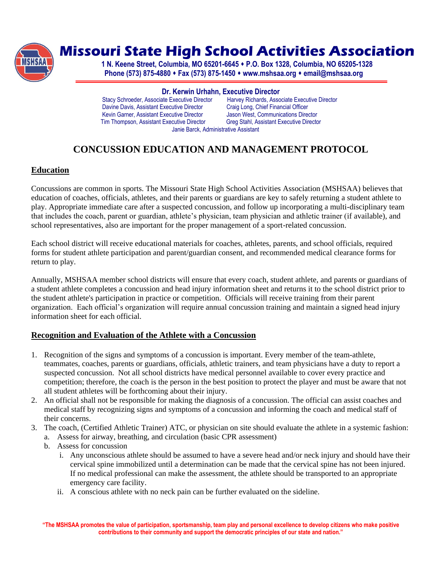

# **Missouri State High School Activities Association**

**1 N. Keene Street, Columbia, MO 65201-6645 P.O. Box 1328, Columbia, NO 65205-1328 Phone (573) 875-4880 Fax (573) 875-1450 www.mshsaa.org email@mshsaa.org**

**Dr. Kerwin Urhahn, Executive Director** Stacy Schroeder, Associate Executive Director Harvey Richards, Associate Execu<br>
Davine Davis, Assistant Executive Director Craig Long, Chief Financial Officer Davine Davis, Assistant Executive Director Craig Long, Chief Financial Officer<br>
Kevin Garner, Assistant Executive Director Jason West, Communications Director Kevin Garner, Assistant Executive Director Tim Thompson, Assistant Executive Director Greg Stahl, Assistant Executive Director Janie Barck, Administrative Assistant

# **CONCUSSION EDUCATION AND MANAGEMENT PROTOCOL**

# **Education**

Concussions are common in sports. The Missouri State High School Activities Association (MSHSAA) believes that education of coaches, officials, athletes, and their parents or guardians are key to safely returning a student athlete to play. Appropriate immediate care after a suspected concussion, and follow up incorporating a multi-disciplinary team that includes the coach, parent or guardian, athlete's physician, team physician and athletic trainer (if available), and school representatives, also are important for the proper management of a sport-related concussion.

Each school district will receive educational materials for coaches, athletes, parents, and school officials, required forms for student athlete participation and parent/guardian consent, and recommended medical clearance forms for return to play.

Annually, MSHSAA member school districts will ensure that every coach, student athlete, and parents or guardians of a student athlete completes a concussion and head injury information sheet and returns it to the school district prior to the student athlete's participation in practice or competition. Officials will receive training from their parent organization. Each official's organization will require annual concussion training and maintain a signed head injury information sheet for each official.

# **Recognition and Evaluation of the Athlete with a Concussion**

- 1. Recognition of the signs and symptoms of a concussion is important. Every member of the team-athlete, teammates, coaches, parents or guardians, officials, athletic trainers, and team physicians have a duty to report a suspected concussion. Not all school districts have medical personnel available to cover every practice and competition; therefore, the coach is the person in the best position to protect the player and must be aware that not all student athletes will be forthcoming about their injury.
- 2. An official shall not be responsible for making the diagnosis of a concussion. The official can assist coaches and medical staff by recognizing signs and symptoms of a concussion and informing the coach and medical staff of their concerns.
- 3. The coach, (Certified Athletic Trainer) ATC, or physician on site should evaluate the athlete in a systemic fashion: a. Assess for airway, breathing, and circulation (basic CPR assessment)
	- b. Assess for concussion
		- i. Any unconscious athlete should be assumed to have a severe head and/or neck injury and should have their cervical spine immobilized until a determination can be made that the cervical spine has not been injured. If no medical professional can make the assessment, the athlete should be transported to an appropriate emergency care facility.
		- ii. A conscious athlete with no neck pain can be further evaluated on the sideline.

**"The MSHSAA promotes the value of participation, sportsmanship, team play and personal excellence to develop citizens who make positive contributions to their community and support the democratic principles of our state and nation."**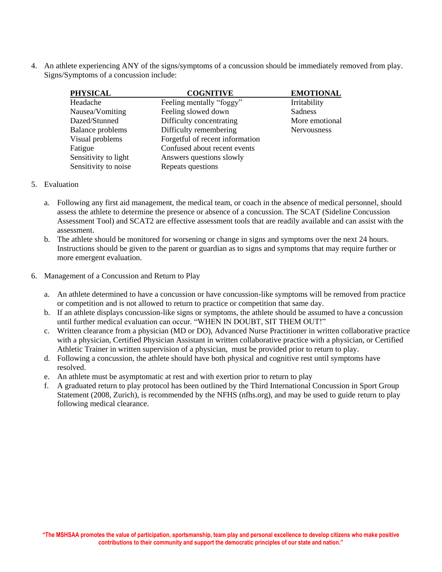4. An athlete experiencing ANY of the signs/symptoms of a concussion should be immediately removed from play. Signs/Symptoms of a concussion include:

| <b>PHYSICAL</b>         | <b>COGNITIVE</b>                | <b>EMOTIONAL</b> |
|-------------------------|---------------------------------|------------------|
| Headache                | Feeling mentally "foggy"        | Irritability     |
| Nausea/Vomiting         | Feeling slowed down             | Sadness          |
| Dazed/Stunned           | Difficulty concentrating        | More emotional   |
| <b>Balance problems</b> | Difficulty remembering          | Nervousness      |
| Visual problems         | Forgetful of recent information |                  |
| Fatigue                 | Confused about recent events    |                  |
| Sensitivity to light    | Answers questions slowly        |                  |
| Sensitivity to noise    | Repeats questions               |                  |

#### 5. Evaluation

- a. Following any first aid management, the medical team, or coach in the absence of medical personnel, should assess the athlete to determine the presence or absence of a concussion. The SCAT (Sideline Concussion Assessment Tool) and SCAT2 are effective assessment tools that are readily available and can assist with the assessment.
- b. The athlete should be monitored for worsening or change in signs and symptoms over the next 24 hours. Instructions should be given to the parent or guardian as to signs and symptoms that may require further or more emergent evaluation.
- 6. Management of a Concussion and Return to Play
	- a. An athlete determined to have a concussion or have concussion-like symptoms will be removed from practice or competition and is not allowed to return to practice or competition that same day.
	- b. If an athlete displays concussion-like signs or symptoms, the athlete should be assumed to have a concussion until further medical evaluation can occur. "WHEN IN DOUBT, SIT THEM OUT!"
	- c. Written clearance from a physician (MD or DO), Advanced Nurse Practitioner in written collaborative practice with a physician, Certified Physician Assistant in written collaborative practice with a physician, or Certified Athletic Trainer in written supervision of a physician, must be provided prior to return to play.
	- d. Following a concussion, the athlete should have both physical and cognitive rest until symptoms have resolved.
	- e. An athlete must be asymptomatic at rest and with exertion prior to return to play
	- f. A graduated return to play protocol has been outlined by the Third International Concussion in Sport Group Statement (2008, Zurich), is recommended by the NFHS (nfhs.org), and may be used to guide return to play following medical clearance.